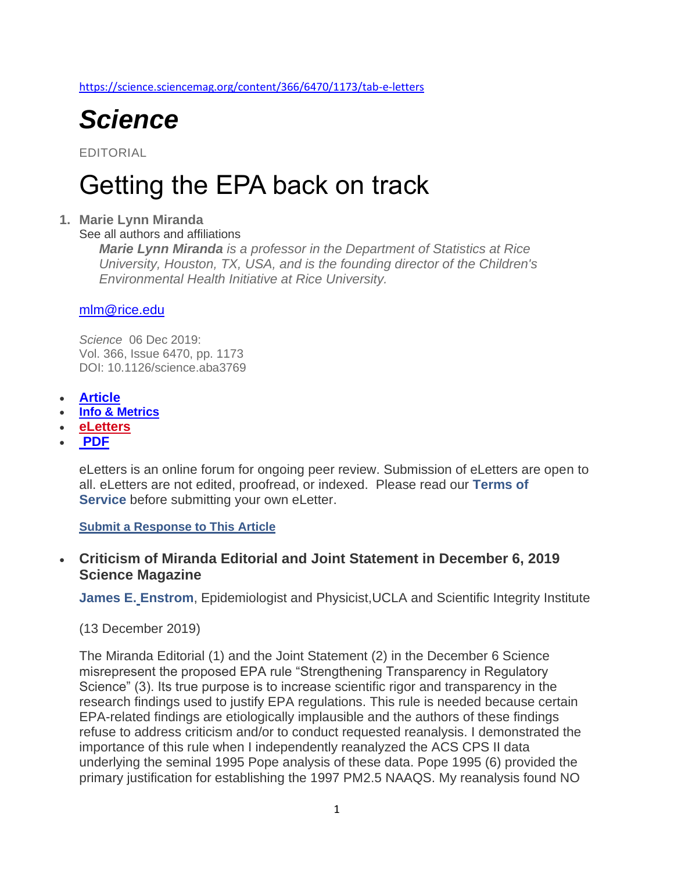<https://science.sciencemag.org/content/366/6470/1173/tab-e-letters>



EDITORIAL

# Getting the EPA back on track

#### **1. Marie Lynn Miranda**

See all authors and affiliations

*Marie Lynn Miranda is a professor in the Department of Statistics at Rice University, Houston, TX, USA, and is the founding director of the Children's Environmental Health Initiative at Rice University.*

#### [mlm@rice.edu](mailto:mlm@rice.edu)

*Science* 06 Dec 2019: Vol. 366, Issue 6470, pp. 1173 DOI: 10.1126/science.aba3769

- **[Article](https://science.sciencemag.org/content/366/6470/1173)**
- **[Info & Metrics](https://science.sciencemag.org/content/366/6470/1173/tab-article-info)**
- **[eLetters](https://science.sciencemag.org/content/366/6470/1173/tab-e-letters)**
- **[PDF](https://science.sciencemag.org/content/366/6470/1173/tab-pdf)**

eLetters is an online forum for ongoing peer review. Submission of eLetters are open to all. eLetters are not edited, proofread, or indexed. Please read our **[Terms of](http://www.sciencemag.org/about/terms-service)  [Service](http://www.sciencemag.org/about/terms-service)** before submitting your own eLetter.

**[Submit a Response to This Article](https://science.sciencemag.org/content/366/6470/1173/tab-e-letters)**

# • **Criticism of Miranda Editorial and Joint Statement in December 6, 2019 Science Magazine**

**[James E.](mailto:jenstrom@ucla.edu) Enstrom**, Epidemiologist and Physicist,UCLA and Scientific Integrity Institute

#### (13 December 2019)

The Miranda Editorial (1) and the Joint Statement (2) in the December 6 Science misrepresent the proposed EPA rule "Strengthening Transparency in Regulatory Science" (3). Its true purpose is to increase scientific rigor and transparency in the research findings used to justify EPA regulations. This rule is needed because certain EPA-related findings are etiologically implausible and the authors of these findings refuse to address criticism and/or to conduct requested reanalysis. I demonstrated the importance of this rule when I independently reanalyzed the ACS CPS II data underlying the seminal 1995 Pope analysis of these data. Pope 1995 (6) provided the primary justification for establishing the 1997 PM2.5 NAAQS. My reanalysis found NO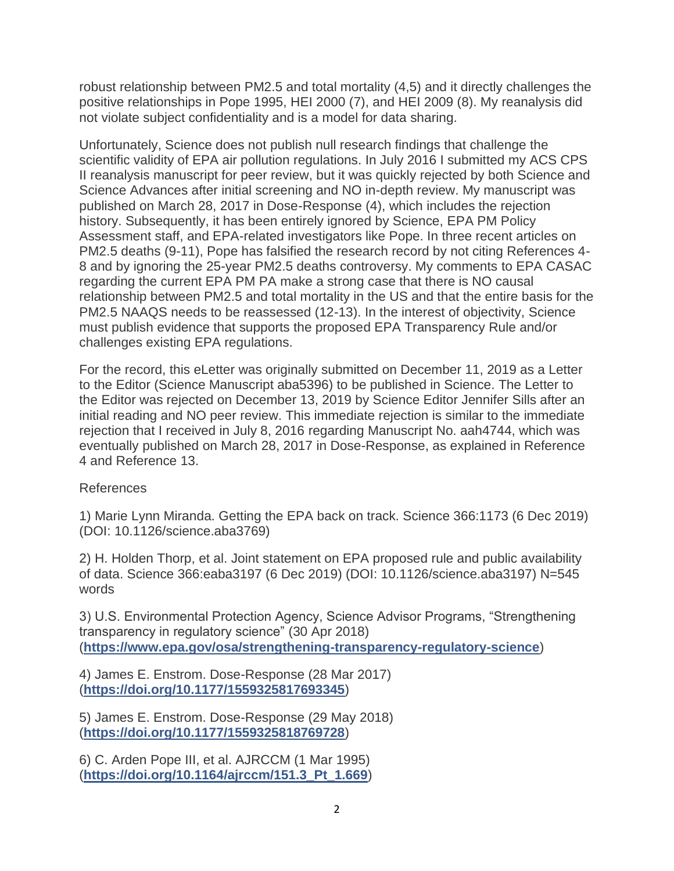robust relationship between PM2.5 and total mortality (4,5) and it directly challenges the positive relationships in Pope 1995, HEI 2000 (7), and HEI 2009 (8). My reanalysis did not violate subject confidentiality and is a model for data sharing.

Unfortunately, Science does not publish null research findings that challenge the scientific validity of EPA air pollution regulations. In July 2016 I submitted my ACS CPS II reanalysis manuscript for peer review, but it was quickly rejected by both Science and Science Advances after initial screening and NO in-depth review. My manuscript was published on March 28, 2017 in Dose-Response (4), which includes the rejection history. Subsequently, it has been entirely ignored by Science, EPA PM Policy Assessment staff, and EPA-related investigators like Pope. In three recent articles on PM2.5 deaths (9-11), Pope has falsified the research record by not citing References 4- 8 and by ignoring the 25-year PM2.5 deaths controversy. My comments to EPA CASAC regarding the current EPA PM PA make a strong case that there is NO causal relationship between PM2.5 and total mortality in the US and that the entire basis for the PM2.5 NAAQS needs to be reassessed (12-13). In the interest of objectivity, Science must publish evidence that supports the proposed EPA Transparency Rule and/or challenges existing EPA regulations.

For the record, this eLetter was originally submitted on December 11, 2019 as a Letter to the Editor (Science Manuscript aba5396) to be published in Science. The Letter to the Editor was rejected on December 13, 2019 by Science Editor Jennifer Sills after an initial reading and NO peer review. This immediate rejection is similar to the immediate rejection that I received in July 8, 2016 regarding Manuscript No. aah4744, which was eventually published on March 28, 2017 in Dose-Response, as explained in Reference 4 and Reference 13.

#### References

1) Marie Lynn Miranda. Getting the EPA back on track. Science 366:1173 (6 Dec 2019) (DOI: 10.1126/science.aba3769)

2) H. Holden Thorp, et al. Joint statement on EPA proposed rule and public availability of data. Science 366:eaba3197 (6 Dec 2019) (DOI: 10.1126/science.aba3197) N=545 words

3) U.S. Environmental Protection Agency, Science Advisor Programs, "Strengthening transparency in regulatory science" (30 Apr 2018) (**<https://www.epa.gov/osa/strengthening-transparency-regulatory-science>**)

4) James E. Enstrom. Dose-Response (28 Mar 2017) (**<https://doi.org/10.1177/1559325817693345>**)

5) James E. Enstrom. Dose-Response (29 May 2018) (**<https://doi.org/10.1177/1559325818769728>**)

6) C. Arden Pope III, et al. AJRCCM (1 Mar 1995) (**[https://doi.org/10.1164/ajrccm/151.3\\_Pt\\_1.669](https://doi.org/10.1164/ajrccm/151.3_Pt_1.669)**)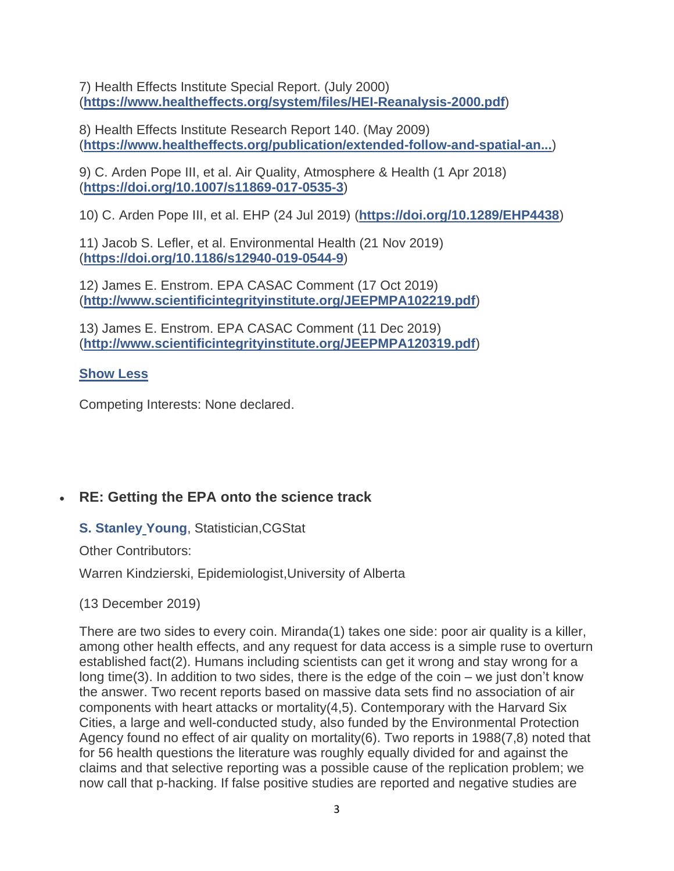7) Health Effects Institute Special Report. (July 2000) (**<https://www.healtheffects.org/system/files/HEI-Reanalysis-2000.pdf>**)

8) Health Effects Institute Research Report 140. (May 2009) (**[https://www.healtheffects.org/publication/extended-follow-and-spatial-an...](https://www.healtheffects.org/publication/extended-follow-and-spatial-analysis-american-cancer-society-study-linking-particulate)**)

9) C. Arden Pope III, et al. Air Quality, Atmosphere & Health (1 Apr 2018) (**<https://doi.org/10.1007/s11869-017-0535-3>**)

10) C. Arden Pope III, et al. EHP (24 Jul 2019) (**<https://doi.org/10.1289/EHP4438>**)

11) Jacob S. Lefler, et al. Environmental Health (21 Nov 2019) (**<https://doi.org/10.1186/s12940-019-0544-9>**)

12) James E. Enstrom. EPA CASAC Comment (17 Oct 2019) (**<http://www.scientificintegrityinstitute.org/JEEPMPA102219.pdf>**)

13) James E. Enstrom. EPA CASAC Comment (11 Dec 2019) (**<http://www.scientificintegrityinstitute.org/JEEPMPA120319.pdf>**)

# **[Show Less](https://science.sciencemag.org/content/366/6470/1173/tab-e-letters)**

Competing Interests: None declared.

# • **RE: Getting the EPA onto the science track**

**[S. Stanley](mailto:genetree@bellsouth.net) Young**, Statistician,CGStat

Other Contributors:

Warren Kindzierski, Epidemiologist,University of Alberta

(13 December 2019)

There are two sides to every coin. Miranda(1) takes one side: poor air quality is a killer, among other health effects, and any request for data access is a simple ruse to overturn established fact(2). Humans including scientists can get it wrong and stay wrong for a long time(3). In addition to two sides, there is the edge of the coin – we just don't know the answer. Two recent reports based on massive data sets find no association of air components with heart attacks or mortality(4,5). Contemporary with the Harvard Six Cities, a large and well-conducted study, also funded by the Environmental Protection Agency found no effect of air quality on mortality(6). Two reports in 1988(7,8) noted that for 56 health questions the literature was roughly equally divided for and against the claims and that selective reporting was a possible cause of the replication problem; we now call that p-hacking. If false positive studies are reported and negative studies are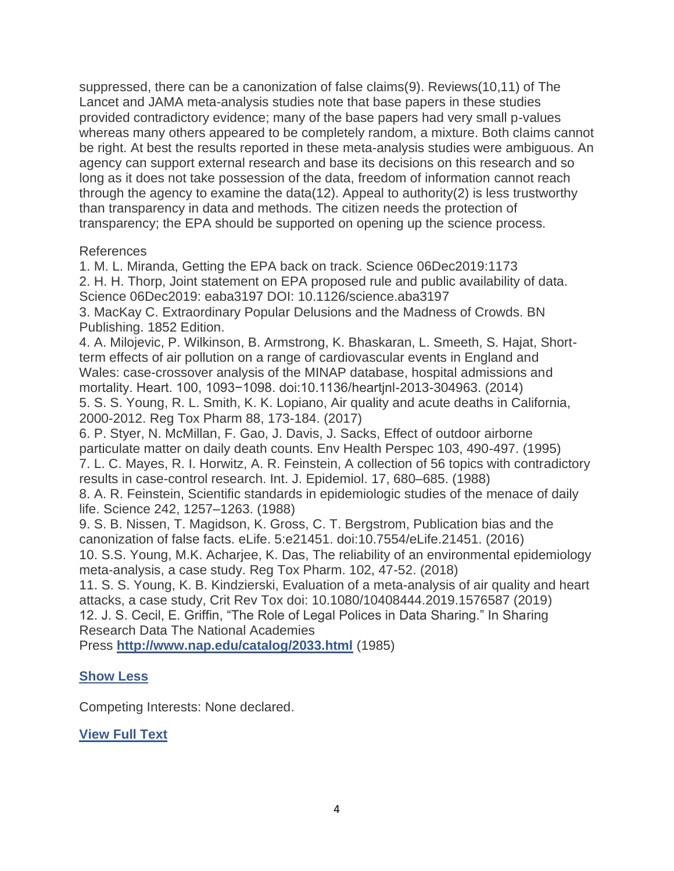suppressed, there can be a canonization of false claims(9). Reviews(10,11) of The Lancet and JAMA meta-analysis studies note that base papers in these studies provided contradictory evidence; many of the base papers had very small p-values whereas many others appeared to be completely random, a mixture. Both claims cannot be right. At best the results reported in these meta-analysis studies were ambiguous. An agency can support external research and base its decisions on this research and so long as it does not take possession of the data, freedom of information cannot reach through the agency to examine the data(12). Appeal to authority(2) is less trustworthy than transparency in data and methods. The citizen needs the protection of transparency; the EPA should be supported on opening up the science process.

#### References

1. M. L. Miranda, Getting the EPA back on track. Science 06Dec2019:1173 2. H. H. Thorp, Joint statement on EPA proposed rule and public availability of data. Science 06Dec2019: eaba3197 DOI: 10.1126/science.aba3197

3. MacKay C. Extraordinary Popular Delusions and the Madness of Crowds. BN Publishing. 1852 Edition.

4. A. Milojevic, P. Wilkinson, B. Armstrong, K. Bhaskaran, L. Smeeth, S. Hajat, Shortterm effects of air pollution on a range of cardiovascular events in England and Wales: case-crossover analysis of the MINAP database, hospital admissions and mortality. Heart. 100, 1093−1098. doi:10.1136/heartjnl-2013-304963. (2014) 5. S. S. Young, R. L. Smith, K. K. Lopiano, Air quality and acute deaths in California, 2000-2012. Reg Tox Pharm 88, 173-184. (2017)

6. P. Styer, N. McMillan, F. Gao, J. Davis, J. Sacks, Effect of outdoor airborne particulate matter on daily death counts. Env Health Perspec 103, 490-497. (1995) 7. L. C. Mayes, R. I. Horwitz, A. R. Feinstein, A collection of 56 topics with contradictory results in case-control research. Int. J. Epidemiol. 17, 680–685. (1988)

8. A. R. Feinstein, Scientific standards in epidemiologic studies of the menace of daily life. Science 242, 1257–1263. (1988)

9. S. B. Nissen, T. Magidson, K. Gross, C. T. Bergstrom, Publication bias and the canonization of false facts. eLife. 5:e21451. doi:10.7554/eLife.21451. (2016)

10. S.S. Young, M.K. Acharjee, K. Das, The reliability of an environmental epidemiology meta-analysis, a case study. Reg Tox Pharm. 102, 47-52. (2018)

11. S. S. Young, K. B. Kindzierski, Evaluation of a meta-analysis of air quality and heart attacks, a case study, Crit Rev Tox doi: 10.1080/10408444.2019.1576587 (2019) 12. J. S. Cecil, E. Griffin, "The Role of Legal Polices in Data Sharing." In Sharing Research Data The National Academies

Press **<http://www.nap.edu/catalog/2033.html>** (1985)

# **[Show Less](https://science.sciencemag.org/content/366/6470/1173/tab-e-letters)**

Competing Interests: None declared.

# **[View Full Text](https://science.sciencemag.org/content/366/6470/1173.full)**